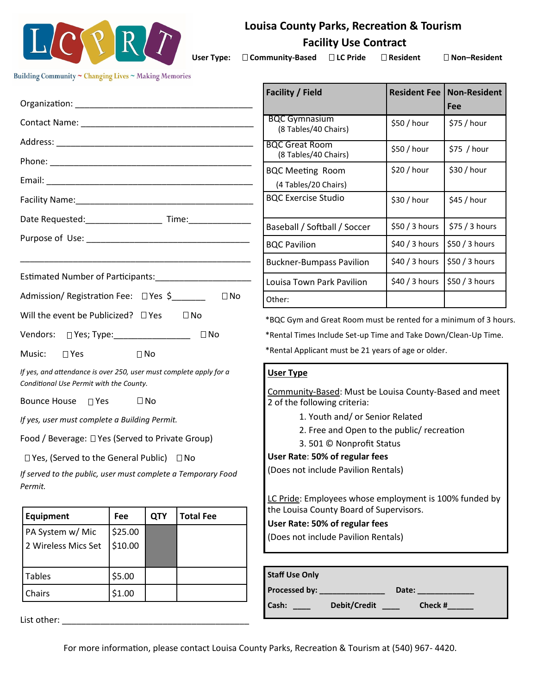

# **Louisa County Parks, Recreation & Tourism**

 **Facility Use Contract**

User Type: □ Community-Based □ LC Pride □ Resident □ Non-Resident

Building Community ~ Changing Lives ~ Making Memories

|                                                                                                                                                                                                                                                                                                                                                                                                                                                                                        |                    |            |                  | <b>Facility / Field</b>                                                                                                                                                                                                                                                                                                                                                                                                                                                            |                | <b>Resident Fee   Non-Resident</b><br>Fee |  |
|----------------------------------------------------------------------------------------------------------------------------------------------------------------------------------------------------------------------------------------------------------------------------------------------------------------------------------------------------------------------------------------------------------------------------------------------------------------------------------------|--------------------|------------|------------------|------------------------------------------------------------------------------------------------------------------------------------------------------------------------------------------------------------------------------------------------------------------------------------------------------------------------------------------------------------------------------------------------------------------------------------------------------------------------------------|----------------|-------------------------------------------|--|
|                                                                                                                                                                                                                                                                                                                                                                                                                                                                                        |                    |            |                  | <b>BQC Gymnasium</b><br>(8 Tables/40 Chairs)                                                                                                                                                                                                                                                                                                                                                                                                                                       | \$50 / hour    | \$75 / hour                               |  |
|                                                                                                                                                                                                                                                                                                                                                                                                                                                                                        |                    |            |                  | <b>BQC Great Room</b><br>(8 Tables/40 Chairs)                                                                                                                                                                                                                                                                                                                                                                                                                                      | \$50 / hour    | $$75$ / hour                              |  |
|                                                                                                                                                                                                                                                                                                                                                                                                                                                                                        |                    |            |                  | <b>BQC Meeting Room</b><br>(4 Tables/20 Chairs)                                                                                                                                                                                                                                                                                                                                                                                                                                    | \$20 / hour    | \$30 / hour                               |  |
|                                                                                                                                                                                                                                                                                                                                                                                                                                                                                        |                    |            |                  | <b>BQC Exercise Studio</b>                                                                                                                                                                                                                                                                                                                                                                                                                                                         | \$30 / hour    | \$45 / hour                               |  |
| Date Requested: ________________________ Time: _________________________________                                                                                                                                                                                                                                                                                                                                                                                                       |                    |            |                  | Baseball / Softball / Soccer                                                                                                                                                                                                                                                                                                                                                                                                                                                       | \$50 / 3 hours | \$75 / 3 hours                            |  |
|                                                                                                                                                                                                                                                                                                                                                                                                                                                                                        |                    |            |                  | <b>BQC Pavilion</b>                                                                                                                                                                                                                                                                                                                                                                                                                                                                | $$40/3$ hours  | \$50 / 3 hours                            |  |
|                                                                                                                                                                                                                                                                                                                                                                                                                                                                                        |                    |            |                  | <b>Buckner-Bumpass Pavilion</b>                                                                                                                                                                                                                                                                                                                                                                                                                                                    | $$40/3$ hours  | \$50 / 3 hours                            |  |
| Estimated Number of Participants:___________________________                                                                                                                                                                                                                                                                                                                                                                                                                           |                    |            |                  | Louisa Town Park Pavilion                                                                                                                                                                                                                                                                                                                                                                                                                                                          | $$40/3$ hours  | \$50 / 3 hours                            |  |
| Admission/ Registration Fee: □ Yes \$<br>$\Box$ No                                                                                                                                                                                                                                                                                                                                                                                                                                     |                    |            |                  | Other:                                                                                                                                                                                                                                                                                                                                                                                                                                                                             |                |                                           |  |
| Vendors: □ Yes; Type: _______________<br>$\Box$ No<br>Music:<br>$\square$ Yes<br>$\Box$ No<br>If yes, and attendance is over 250, user must complete apply for a<br>Conditional Use Permit with the County.<br>Bounce House □ Yes<br>$\Box$ No<br>If yes, user must complete a Building Permit.<br>Food / Beverage: □ Yes (Served to Private Group)<br>$\Box$ Yes, (Served to the General Public) $\Box$ No<br>If served to the public, user must complete a Temporary Food<br>Permit. |                    |            |                  | *Rental Times Include Set-up Time and Take Down/Clean-Up Time.<br>*Rental Applicant must be 21 years of age or older.<br><b>User Type</b><br>Community-Based: Must be Louisa County-Based and meet<br>2 of the following criteria:<br>1. Youth and/ or Senior Related<br>2. Free and Open to the public/ recreation<br>3.501 © Nonprofit Status<br>User Rate: 50% of regular fees<br>(Does not include Pavilion Rentals)<br>LC Pride: Employees whose employment is 100% funded by |                |                                           |  |
| Equipment                                                                                                                                                                                                                                                                                                                                                                                                                                                                              | Fee                | <b>QTY</b> | <b>Total Fee</b> | the Louisa County Board of Supervisors.<br>User Rate: 50% of regular fees                                                                                                                                                                                                                                                                                                                                                                                                          |                |                                           |  |
| PA System w/ Mic<br>2 Wireless Mics Set                                                                                                                                                                                                                                                                                                                                                                                                                                                | \$25.00<br>\$10.00 |            |                  | (Does not include Pavilion Rentals)                                                                                                                                                                                                                                                                                                                                                                                                                                                |                |                                           |  |
| <b>Tables</b>                                                                                                                                                                                                                                                                                                                                                                                                                                                                          | \$5.00             |            |                  | <b>Staff Use Only</b>                                                                                                                                                                                                                                                                                                                                                                                                                                                              |                |                                           |  |
| Chairs                                                                                                                                                                                                                                                                                                                                                                                                                                                                                 | \$1.00             |            |                  |                                                                                                                                                                                                                                                                                                                                                                                                                                                                                    |                |                                           |  |
| Cash: Debit/Credit<br>Check #                                                                                                                                                                                                                                                                                                                                                                                                                                                          |                    |            |                  |                                                                                                                                                                                                                                                                                                                                                                                                                                                                                    |                |                                           |  |

For more information, please contact Louisa County Parks, Recreation & Tourism at (540) 967- 4420.